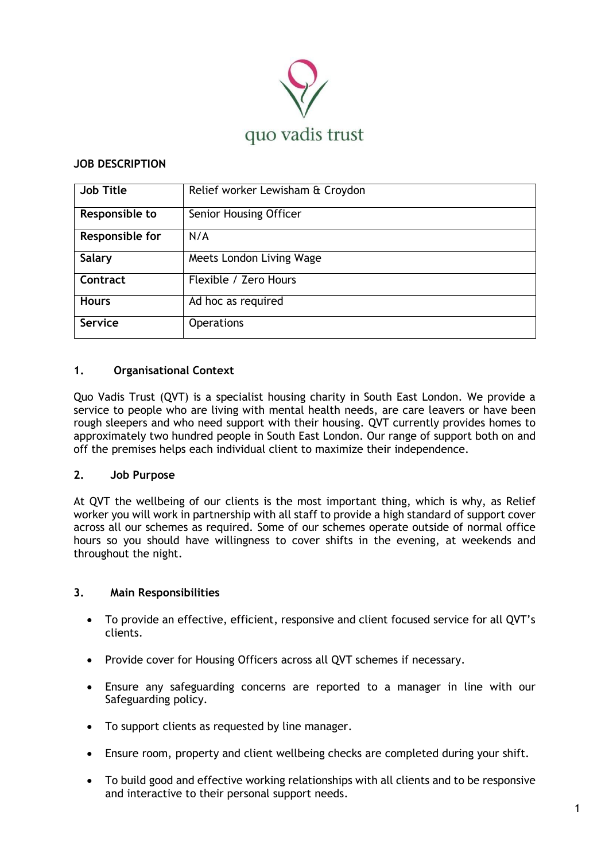

## **JOB DESCRIPTION**

| <b>Job Title</b> | Relief worker Lewisham & Croydon |
|------------------|----------------------------------|
| Responsible to   | Senior Housing Officer           |
| Responsible for  | N/A                              |
| <b>Salary</b>    | Meets London Living Wage         |
| Contract         | Flexible / Zero Hours            |
| <b>Hours</b>     | Ad hoc as required               |
| <b>Service</b>   | <b>Operations</b>                |

### **1. Organisational Context**

Quo Vadis Trust (QVT) is a specialist housing charity in South East London. We provide a service to people who are living with mental health needs, are care leavers or have been rough sleepers and who need support with their housing. QVT currently provides homes to approximately two hundred people in South East London. Our range of support both on and off the premises helps each individual client to maximize their independence.

### **2. Job Purpose**

At QVT the wellbeing of our clients is the most important thing, which is why, as Relief worker you will work in partnership with all staff to provide a high standard of support cover across all our schemes as required. Some of our schemes operate outside of normal office hours so you should have willingness to cover shifts in the evening, at weekends and throughout the night.

### **3. Main Responsibilities**

- To provide an effective, efficient, responsive and client focused service for all QVT's clients.
- Provide cover for Housing Officers across all QVT schemes if necessary.
- Ensure any safeguarding concerns are reported to a manager in line with our Safeguarding policy.
- To support clients as requested by line manager.
- Ensure room, property and client wellbeing checks are completed during your shift.
- To build good and effective working relationships with all clients and to be responsive and interactive to their personal support needs.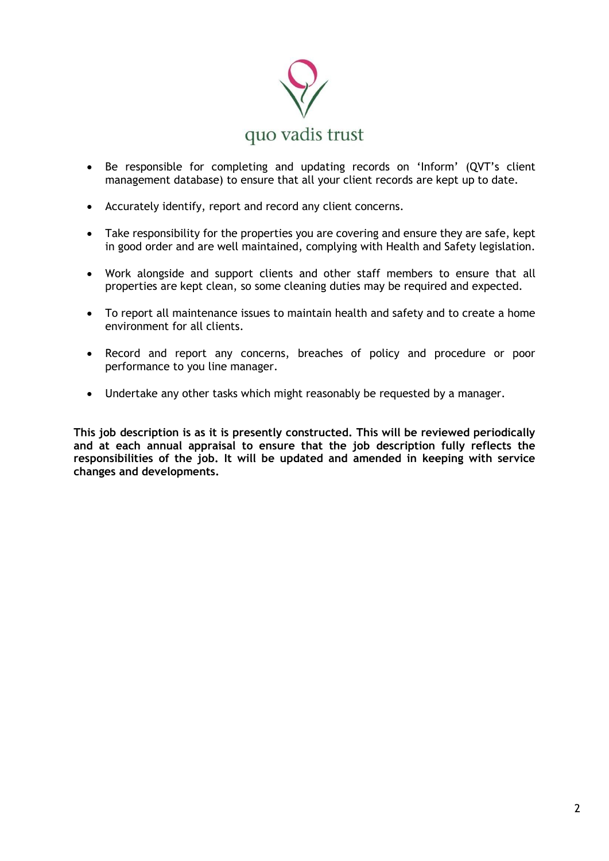

- Be responsible for completing and updating records on 'Inform' (QVT's client management database) to ensure that all your client records are kept up to date.
- Accurately identify, report and record any client concerns.
- Take responsibility for the properties you are covering and ensure they are safe, kept in good order and are well maintained, complying with Health and Safety legislation.
- Work alongside and support clients and other staff members to ensure that all properties are kept clean, so some cleaning duties may be required and expected.
- To report all maintenance issues to maintain health and safety and to create a home environment for all clients.
- Record and report any concerns, breaches of policy and procedure or poor performance to you line manager.
- Undertake any other tasks which might reasonably be requested by a manager.

**This job description is as it is presently constructed. This will be reviewed periodically and at each annual appraisal to ensure that the job description fully reflects the responsibilities of the job. It will be updated and amended in keeping with service changes and developments.**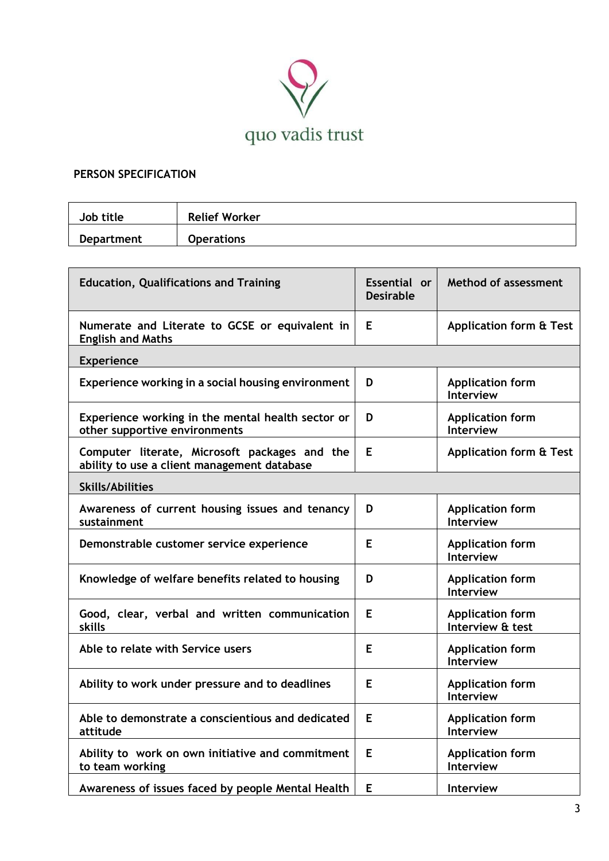

# **PERSON SPECIFICATION**

| Job title         | <b>Relief Worker</b> |
|-------------------|----------------------|
| <b>Department</b> | <b>Operations</b>    |

| <b>Education, Qualifications and Training</b>                                                | Essential or<br><b>Desirable</b> | <b>Method of assessment</b>                 |
|----------------------------------------------------------------------------------------------|----------------------------------|---------------------------------------------|
| Numerate and Literate to GCSE or equivalent in<br><b>English and Maths</b>                   | E                                | <b>Application form &amp; Test</b>          |
| <b>Experience</b>                                                                            |                                  |                                             |
| Experience working in a social housing environment                                           | D                                | <b>Application form</b><br>Interview        |
| Experience working in the mental health sector or<br>other supportive environments           | D                                | <b>Application form</b><br><b>Interview</b> |
| Computer literate, Microsoft packages and the<br>ability to use a client management database | E                                | <b>Application form &amp; Test</b>          |
| <b>Skills/Abilities</b>                                                                      |                                  |                                             |
| Awareness of current housing issues and tenancy<br>sustainment                               | D                                | <b>Application form</b><br><b>Interview</b> |
| Demonstrable customer service experience                                                     | Е                                | <b>Application form</b><br><b>Interview</b> |
| Knowledge of welfare benefits related to housing                                             | D                                | <b>Application form</b><br><b>Interview</b> |
| Good, clear, verbal and written communication<br><b>skills</b>                               | Е                                | <b>Application form</b><br>Interview & test |
| Able to relate with Service users                                                            | E                                | <b>Application form</b><br><b>Interview</b> |
| Ability to work under pressure and to deadlines                                              | E                                | <b>Application form</b><br><b>Interview</b> |
| Able to demonstrate a conscientious and dedicated<br>attitude                                | E                                | <b>Application form</b><br><b>Interview</b> |
| Ability to work on own initiative and commitment<br>to team working                          | E                                | <b>Application form</b><br>Interview        |
| Awareness of issues faced by people Mental Health                                            | E                                | Interview                                   |